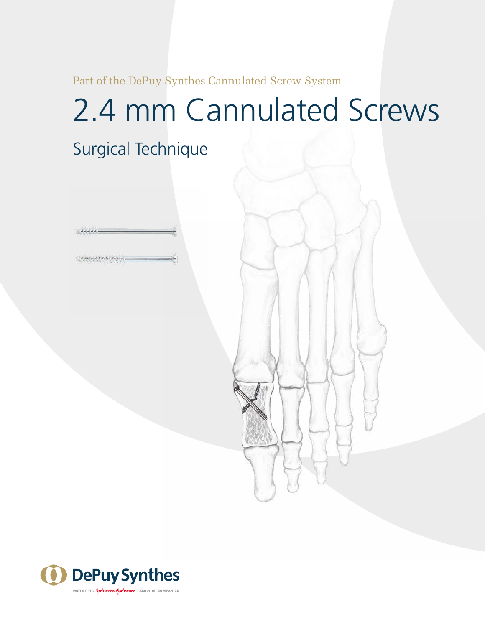Part of the DePuy Synthes Cannulated Screw System

# 2.4 mm Cannulated Screws

Surgical Technique



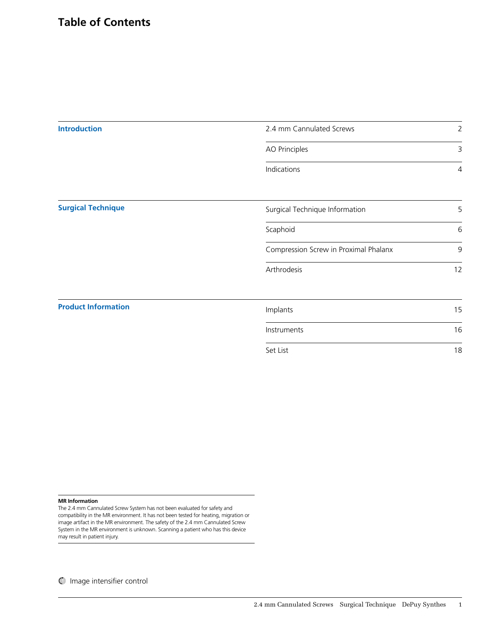| <b>Introduction</b>        | 2.4 mm Cannulated Screws              | $\overline{2}$ |
|----------------------------|---------------------------------------|----------------|
|                            | AO Principles                         | 3              |
|                            | Indications                           | 4              |
| <b>Surgical Technique</b>  | Surgical Technique Information        | 5              |
|                            | Scaphoid                              | 6              |
|                            | Compression Screw in Proximal Phalanx | 9              |
|                            | Arthrodesis                           | 12             |
| <b>Product Information</b> | Implants                              | 15             |
|                            | Instruments                           | 16             |
|                            | Set List                              | 18             |

#### **MR Information**

The 2.4 mm Cannulated Screw System has not been evaluated for safety and compatibility in the MR environment. It has not been tested for heating, migration or image artifact in the MR environment. The safety of the 2.4 mm Cannulated Screw System in the MR environment is unknown. Scanning a patient who has this device may result in patient injury.

Image intensifier control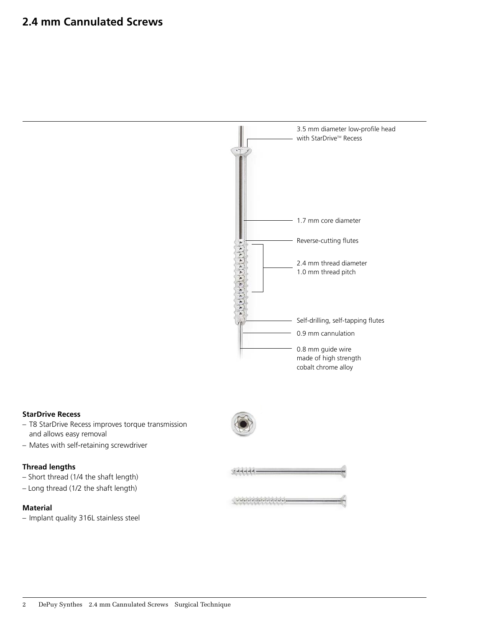

#### **StarDrive Recess**

- T8 StarDrive Recess improves torque transmission and allows easy removal
- Mates with self-retaining screwdriver

#### **Thread lengths**

- Short thread (1/4 the shaft length)
- Long thread (1/2 the shaft length)

#### **Material**

– Implant quality 316L stainless steel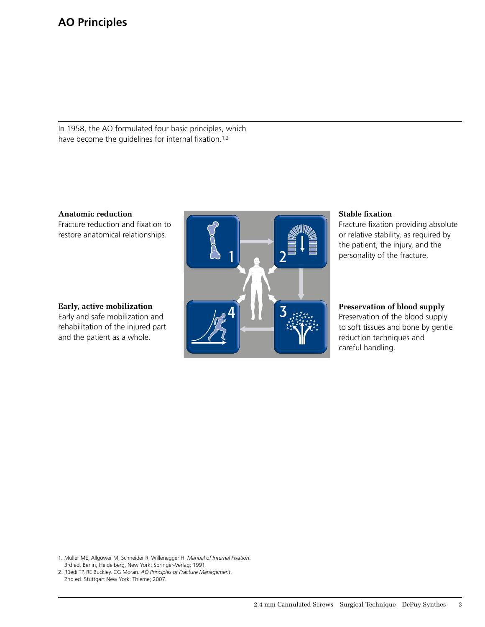In 1958, the AO formulated four basic principles, which have become the guidelines for internal fixation.<sup>1,2</sup>

**Anatomic reduction Anatomic reduction**

Fracture reduction and fixation to Fracture reduction and fixation to restore anatomical relationships. restore anatomical relationships.

## **Early, active mobilization Early, active mobilization**

Early and safe mobilization and Early and safe mobilization and rehabilitation of the injured part rehabilitation of the injured part and the patient as a whole. and the patient as a whole.



## **Stable fixation Stable fixation**

Fracture fixation providing absolute or relative stability, as required by the patient, the injury, and the personality of the fracture.

## **Preservation of blood supply Preservation of blood supply**

Preservation of the blood supply to soft tissues and bone by gentle reduction techniques and careful handling. careful handling.

1. Müller ME, Allgöwer M, Schneider R, Willenegger H. *Manual of Internal Fixation*. 3rd ed. Berlin, Heidelberg, New York: Springer-Verlag; 1991.

2. Nucul H, NE Buckey, CG Moran. AO Thinepies of Hactare Manugement.<br>2nd od. Stuttgart Now York: Thioma: 2007 2nd ed. Stuttgart New York: Thieme; 2007. 2. Rüedi TP, RE Buckley, CG Moran. *AO Principles of Fracture Management*.

2nd ed. Stuttgart, New York: Thieme. 2007.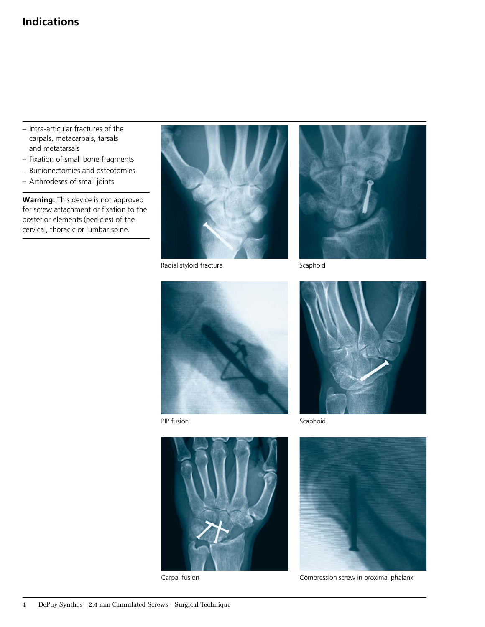## **Indications**

- Intra-articular fractures of the carpals, metacarpals, tarsals and metatarsals
- Fixation of small bone fragments
- Bunionectomies and osteotomies
- Arthrodeses of small joints

**Warning:** This device is not approved for screw attachment or fixation to the posterior elements (pedicles) of the cervical, thoracic or lumbar spine.



Radial styloid fracture Scaphoid





PIP fusion



Scaphoid



Carpal fusion



Compression screw in proximal phalanx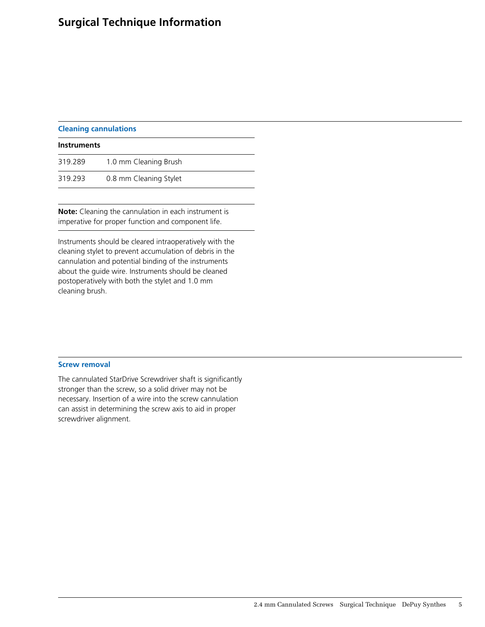## **Surgical Technique Information**

| <b>Cleaning cannulations</b> |  |
|------------------------------|--|
|                              |  |
|                              |  |

| <b>Instruments</b> |                        |  |
|--------------------|------------------------|--|
| 319.289            | 1.0 mm Cleaning Brush  |  |
| 319.293            | 0.8 mm Cleaning Stylet |  |

**Note:** Cleaning the cannulation in each instrument is imperative for proper function and component life.

Instruments should be cleared intraoperatively with the cleaning stylet to prevent accumulation of debris in the cannulation and potential binding of the instruments about the guide wire. Instruments should be cleaned postoperatively with both the stylet and 1.0 mm cleaning brush.

#### **Screw removal**

The cannulated StarDrive Screwdriver shaft is significantly stronger than the screw, so a solid driver may not be necessary. Insertion of a wire into the screw cannulation can assist in determining the screw axis to aid in proper screwdriver alignment.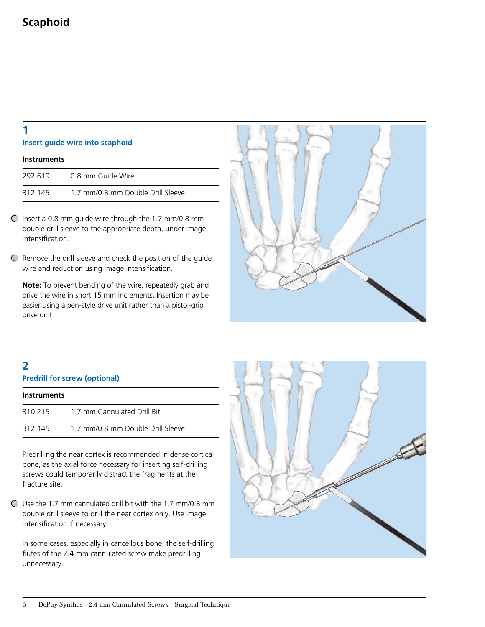#### **Insert guide wire into scaphoid**

| <b>Instruments</b> |                                   |
|--------------------|-----------------------------------|
| 292.619            | 0.8 mm Guide Wire                 |
| 312.145            | 1.7 mm/0.8 mm Double Drill Sleeve |

- $\bigcirc$  Insert a 0.8 mm quide wire through the 1.7 mm/0.8 mm double drill sleeve to the appropriate depth, under image intensification.
- Remove the drill sleeve and check the position of the guide wire and reduction using image intensification.

**Note:** To prevent bending of the wire, repeatedly grab and drive the wire in short 15 mm increments. Insertion may be easier using a pen-style drive unit rather than a pistol-grip drive unit.



## **2**

**Predrill for screw (optional)** 

| <b>Instruments</b> |                                   |
|--------------------|-----------------------------------|
| 310.215            | 1.7 mm Cannulated Drill Bit       |
| 312.145            | 1.7 mm/0.8 mm Double Drill Sleeve |

Predrilling the near cortex is recommended in dense cortical bone, as the axial force necessary for inserting self-drilling screws could temporarily distract the fragments at the fracture site.

Use the 1.7 mm cannulated drill bit with the 1.7 mm/0.8 mm double drill sleeve to drill the near cortex only. Use image intensification if necessary.

In some cases, especially in cancellous bone, the self-drilling flutes of the 2.4 mm cannulated screw make predrilling unnecessary.

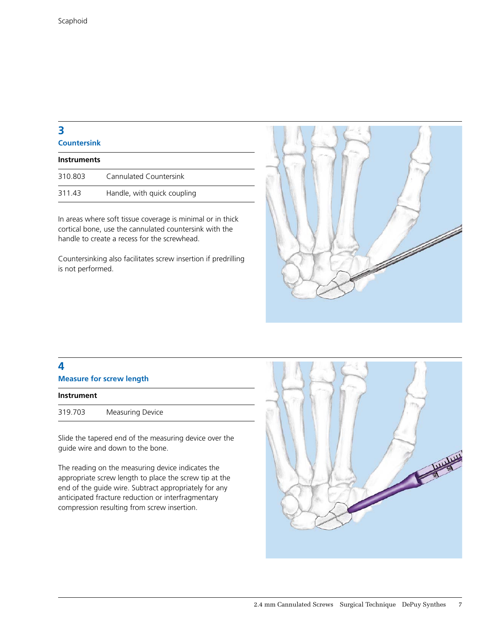## **3 Countersink**

| Instruments |                             |
|-------------|-----------------------------|
| 310.803     | Cannulated Countersink      |
| 311.43      | Handle, with quick coupling |

In areas where soft tissue coverage is minimal or in thick cortical bone, use the cannulated countersink with the handle to create a recess for the screwhead.

Countersinking also facilitates screw insertion if predrilling is not performed.



## **4**

**Measure for screw length**

| <b>Instrument</b> |                         |
|-------------------|-------------------------|
| 319.703           | <b>Measuring Device</b> |

Slide the tapered end of the measuring device over the guide wire and down to the bone.

The reading on the measuring device indicates the appropriate screw length to place the screw tip at the end of the guide wire. Subtract appropriately for any anticipated fracture reduction or interfragmentary compression resulting from screw insertion.

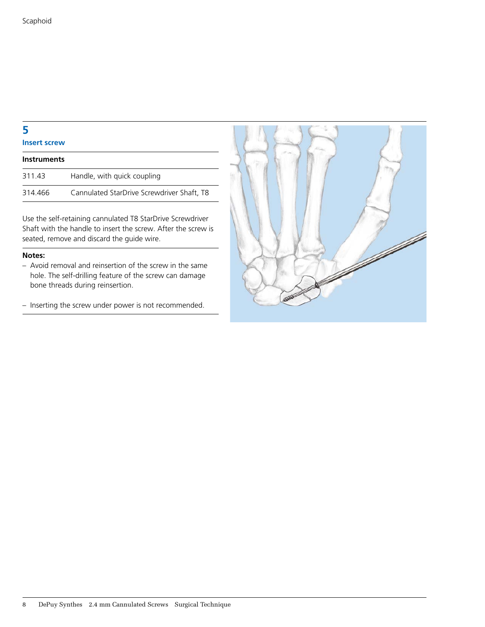**Insert screw**

| <b>Instruments</b> |                                            |
|--------------------|--------------------------------------------|
| 311.43             | Handle, with quick coupling                |
| 314.466            | Cannulated StarDrive Screwdriver Shaft, T8 |

Use the self-retaining cannulated T8 StarDrive Screwdriver Shaft with the handle to insert the screw. After the screw is seated, remove and discard the guide wire.

#### **Notes:**

- Avoid removal and reinsertion of the screw in the same hole. The self-drilling feature of the screw can damage bone threads during reinsertion.
- Inserting the screw under power is not recommended.

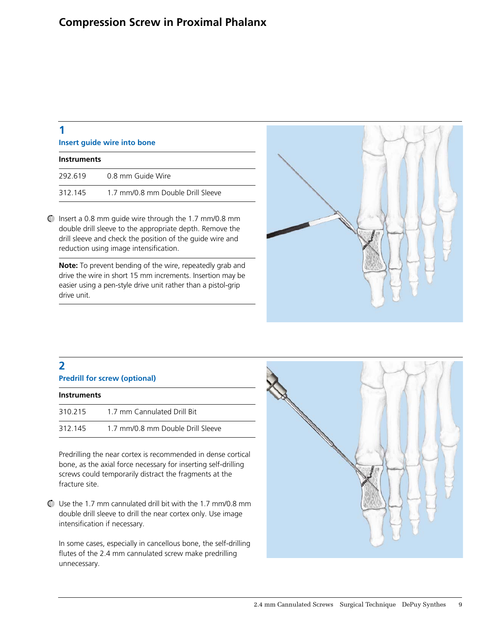| Insert quide wire into bone |                                   |  |
|-----------------------------|-----------------------------------|--|
| <b>Instruments</b>          |                                   |  |
| 292.619                     | 0.8 mm Guide Wire                 |  |
| 312.145                     | 1.7 mm/0.8 mm Double Drill Sleeve |  |

 $\bigcirc$  Insert a 0.8 mm quide wire through the 1.7 mm/0.8 mm double drill sleeve to the appropriate depth. Remove the drill sleeve and check the position of the guide wire and reduction using image intensification.

**Note:** To prevent bending of the wire, repeatedly grab and drive the wire in short 15 mm increments. Insertion may be easier using a pen-style drive unit rather than a pistol-grip drive unit.



## **2**

| <b>Predrill for screw (optional)</b> |  |
|--------------------------------------|--|

| <b>Instruments</b> |                                   |  |
|--------------------|-----------------------------------|--|
| 310.215            | 1.7 mm Cannulated Drill Bit       |  |
| 312.145            | 1.7 mm/0.8 mm Double Drill Sleeve |  |

Predrilling the near cortex is recommended in dense cortical bone, as the axial force necessary for inserting self-drilling screws could temporarily distract the fragments at the fracture site.

Use the 1.7 mm cannulated drill bit with the 1.7 mm/0.8 mm double drill sleeve to drill the near cortex only. Use image intensification if necessary.

In some cases, especially in cancellous bone, the self-drilling flutes of the 2.4 mm cannulated screw make predrilling unnecessary.

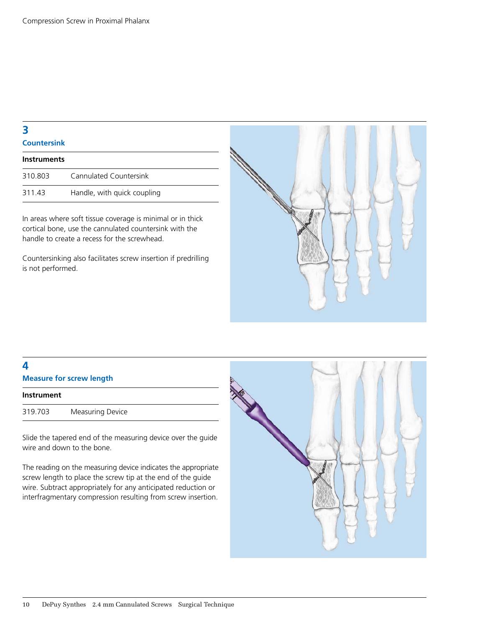**4**

**Countersink**

| <b>Instruments</b> |                             |
|--------------------|-----------------------------|
| 310.803            | Cannulated Countersink      |
| 311.43             | Handle, with quick coupling |

In areas where soft tissue coverage is minimal or in thick cortical bone, use the cannulated countersink with the handle to create a recess for the screwhead.

Countersinking also facilitates screw insertion if predrilling is not performed.



| <b>Measure for screw length</b> |                         |  |
|---------------------------------|-------------------------|--|
| <b>Instrument</b>               |                         |  |
| 319.703                         | <b>Measuring Device</b> |  |

Slide the tapered end of the measuring device over the guide wire and down to the bone.

The reading on the measuring device indicates the appropriate screw length to place the screw tip at the end of the guide wire. Subtract appropriately for any anticipated reduction or interfragmentary compression resulting from screw insertion.

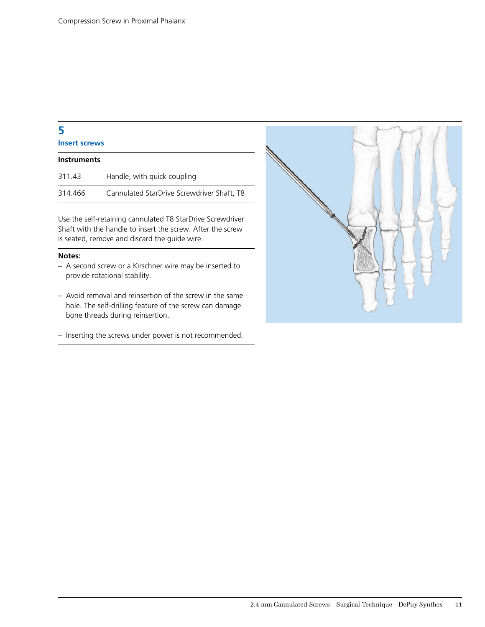## **Insert screws**

| <b>Instruments</b> |                                            |
|--------------------|--------------------------------------------|
| 311.43             | Handle, with quick coupling                |
| 314.466            | Cannulated StarDrive Screwdriver Shaft, T8 |

Use the self-retaining cannulated T8 StarDrive Screwdriver Shaft with the handle to insert the screw. After the screw is seated, remove and discard the guide wire.

#### **Notes:**

- A second screw or a Kirschner wire may be inserted to provide rotational stability.
- Avoid removal and reinsertion of the screw in the same hole. The self-drilling feature of the screw can damage bone threads during reinsertion.
- Inserting the screws under power is not recommended.

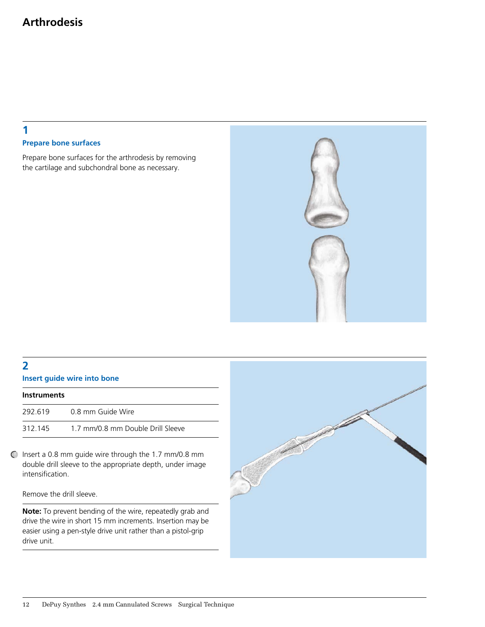## **1 Prepare bone surfaces**

Prepare bone surfaces for the arthrodesis by removing the cartilage and subchondral bone as necessary.



## **2**

#### **Insert guide wire into bone**

| <b>Instruments</b> |                                   |
|--------------------|-----------------------------------|
| 292.619            | 0.8 mm Guide Wire                 |
| 312.145            | 1.7 mm/0.8 mm Double Drill Sleeve |

Insert a 0.8 mm guide wire through the 1.7 mm/0.8 mm double drill sleeve to the appropriate depth, under image intensification.

Remove the drill sleeve.

**Note:** To prevent bending of the wire, repeatedly grab and drive the wire in short 15 mm increments. Insertion may be easier using a pen-style drive unit rather than a pistol-grip drive unit.

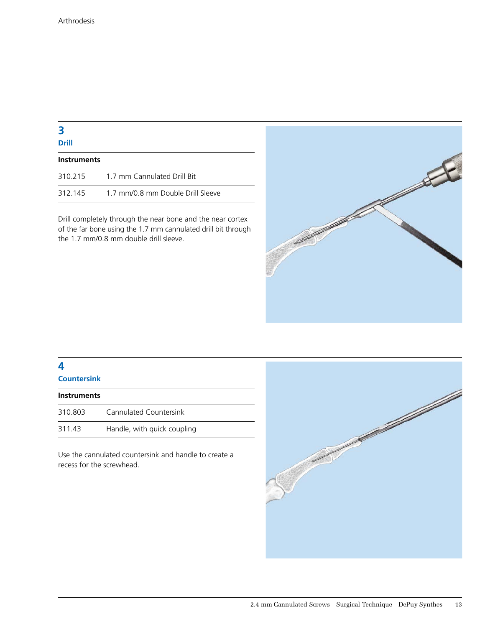**Drill**

| <b>Instruments</b> |                                   |  |
|--------------------|-----------------------------------|--|
| 310.215            | 1.7 mm Cannulated Drill Bit       |  |
| 312.145            | 1.7 mm/0.8 mm Double Drill Sleeve |  |

Drill completely through the near bone and the near cortex of the far bone using the 1.7 mm cannulated drill bit through the 1.7 mm/0.8 mm double drill sleeve.



## **4**

**Countersink**

| <b>Instruments</b> |                             |
|--------------------|-----------------------------|
| 310.803            | Cannulated Countersink      |
| 311.43             | Handle, with quick coupling |

Use the cannulated countersink and handle to create a recess for the screwhead.

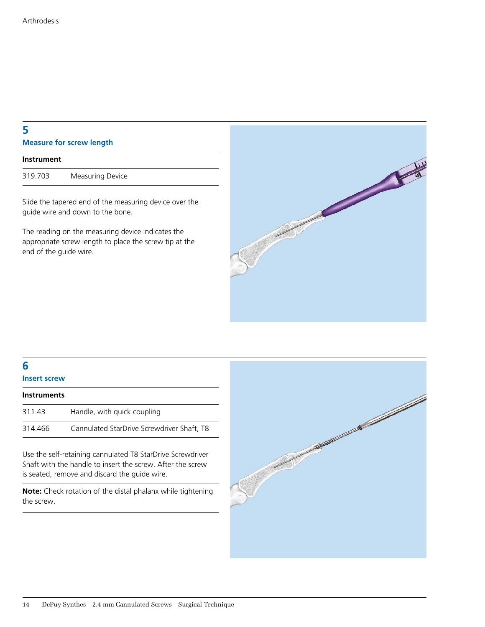| 5                               |  |
|---------------------------------|--|
| <b>Measure for screw length</b> |  |

| Instrument |                  |
|------------|------------------|
| 319.703    | Measuring Device |

Slide the tapered end of the measuring device over the guide wire and down to the bone.

The reading on the measuring device indicates the appropriate screw length to place the screw tip at the end of the guide wire.



## **6**

## **Insert screw**

| <b>Instruments</b> |                                            |
|--------------------|--------------------------------------------|
| 311.43             | Handle, with quick coupling                |
| 314.466            | Cannulated StarDrive Screwdriver Shaft, T8 |

Use the self-retaining cannulated T8 StarDrive Screwdriver Shaft with the handle to insert the screw. After the screw is seated, remove and discard the guide wire.

**Note:** Check rotation of the distal phalanx while tightening the screw.

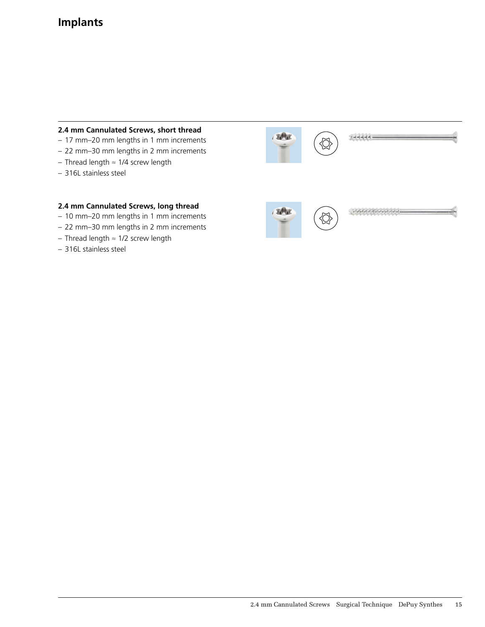## **Implants**

#### **2.4 mm Cannulated Screws, short thread**

- 17 mm–20 mm lengths in 1 mm increments
- 22 mm–30 mm lengths in 2 mm increments
- Thread length ≈ 1/4 screw length
- 316L stainless steel

#### **2.4 mm Cannulated Screws, long thread**

- 10 mm–20 mm lengths in 1 mm increments
- 22 mm–30 mm lengths in 2 mm increments
- Thread length ≈ 1/2 screw length
- 316L stainless steel

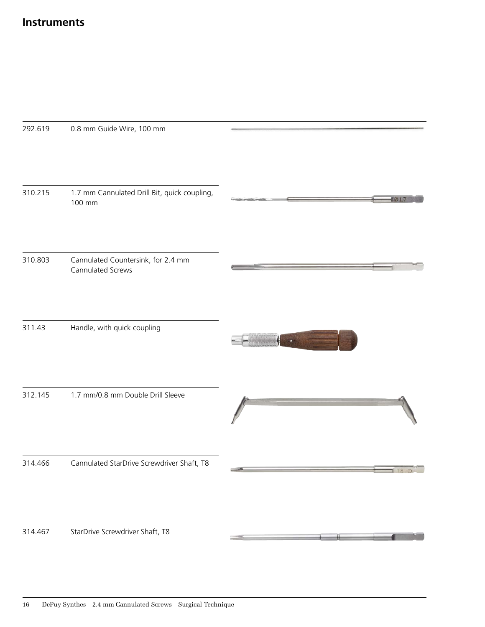| 292.619 | 0.8 mm Guide Wire, 100 mm                               |  |
|---------|---------------------------------------------------------|--|
| 310.215 | 1.7 mm Cannulated Drill Bit, quick coupling,<br>100 mm  |  |
| 310.803 | Cannulated Countersink, for 2.4 mm<br>Cannulated Screws |  |
| 311.43  | Handle, with quick coupling                             |  |
| 312.145 | 1.7 mm/0.8 mm Double Drill Sleeve                       |  |
| 314.466 | Cannulated StarDrive Screwdriver Shaft, T8              |  |
| 314.467 | StarDrive Screwdriver Shaft, T8                         |  |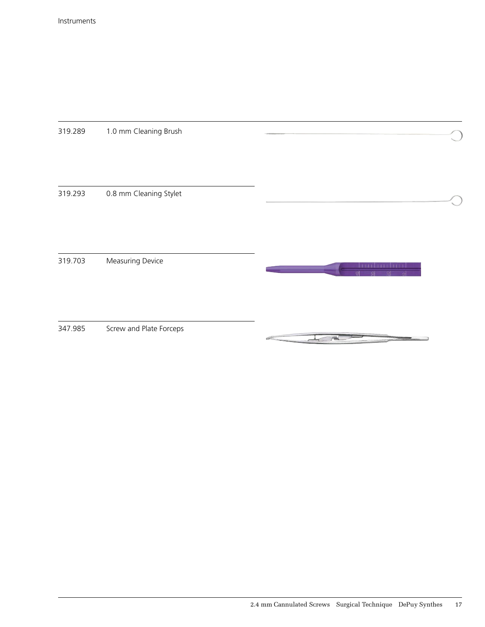319.289 1.0 mm Cleaning Brush 319.293 0.8 mm Cleaning Stylet 319.703 Measuring Device 347.985 Screw and Plate Forceps $P^{(0)}$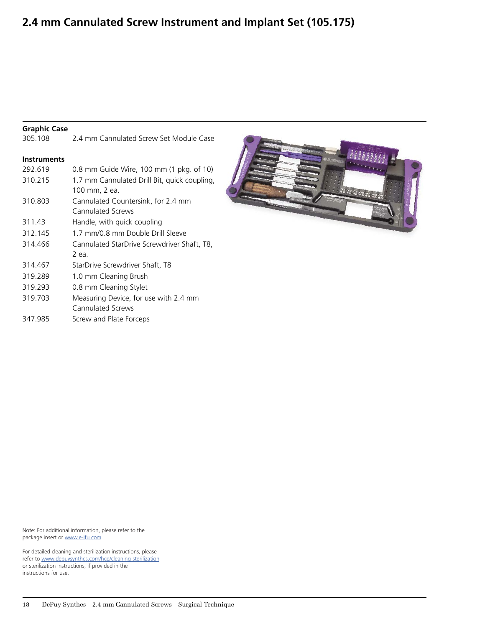## **2.4 mm Cannulated Screw Instrument and Implant Set (105.175)**

#### **Graphic Case**

305.108 2.4 mm Cannulated Screw Set Module Case **Instruments** 292.619 0.8 mm Guide Wire, 100 mm (1 pkg. of 10) 310.215 1.7 mm Cannulated Drill Bit, quick coupling, 100 mm, 2 ea. 310.803 Cannulated Countersink, for 2.4 mm Cannulated Screws 311.43 Handle, with quick coupling 312.145 1.7 mm/0.8 mm Double Drill Sleeve 314.466 Cannulated StarDrive Screwdriver Shaft, T8, 2 ea. 314.467 StarDrive Screwdriver Shaft, T8 319.289 1.0 mm Cleaning Brush 319.293 0.8 mm Cleaning Stylet 319.703 Measuring Device, for use with 2.4 mm Cannulated Screws 347.985 Screw and Plate Forceps



Note: For additional information, please refer to the package insert or www.e-ifu.com.

For detailed cleaning and sterilization instructions, please [refer to www.depuysynthes.com/hcp/cleaning-steri](www.synthes.com/cleaning-sterilization)lization or sterilization instructions, if provided in the instructions for use.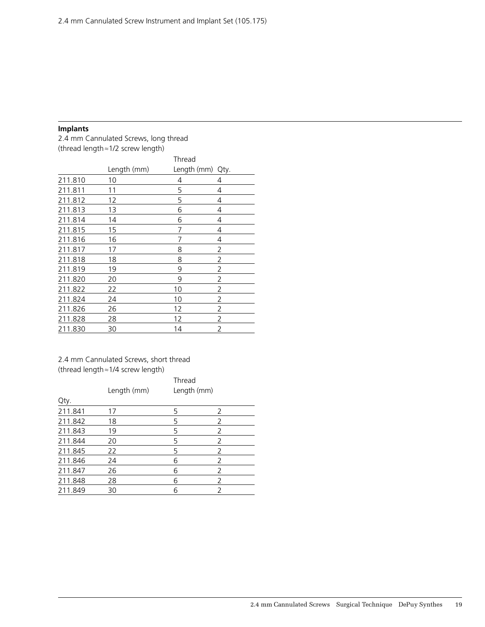#### **Implants**

2.4 mm Cannulated Screws, long thread (thread length≈1/2 screw length)

|         | Thread      |             |      |  |
|---------|-------------|-------------|------|--|
|         | Length (mm) | Length (mm) | Qty. |  |
| 211.810 | 10          | 4           | 4    |  |
| 211.811 | 11          | 5           | 4    |  |
| 211.812 | 12          | 5           | 4    |  |
| 211.813 | 13          | 6           | 4    |  |
| 211.814 | 14          | 6           | 4    |  |
| 211.815 | 15          | 7           | 4    |  |
| 211.816 | 16          | 7           | 4    |  |
| 211.817 | 17          | 8           | 2    |  |
| 211.818 | 18          | 8           | 2    |  |
| 211.819 | 19          | 9           | 2    |  |
| 211.820 | 20          | 9           | 2    |  |
| 211.822 | 22          | 10          | 2    |  |
| 211.824 | 24          | 10          | 2    |  |
| 211.826 | 26          | 12          | 2    |  |
| 211.828 | 28          | 12          | 2    |  |
| 211.830 | 30          | 14          | 2    |  |

#### 2.4 mm Cannulated Screws, short thread (thread length≈1/4 screw length)

| Qty.    | Length (mm) | Thread<br>Length (mm) |   |  |
|---------|-------------|-----------------------|---|--|
| 211.841 | 17          | 5                     | 2 |  |
| 211.842 | 18          | 5                     |   |  |
| 211.843 | 19          | 5                     | 2 |  |
| 211.844 | 20          | 5                     | 2 |  |
| 211.845 | 22          | 5                     |   |  |
| 211.846 | 24          | 6                     |   |  |
| 211.847 | 26          | 6                     |   |  |
| 211.848 | 28          | 6                     |   |  |
| 211.849 | 30          | 6                     |   |  |